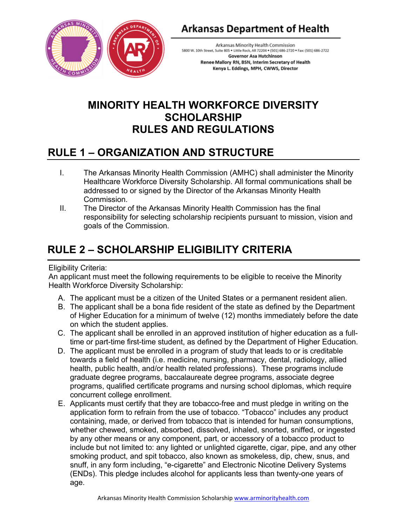

## **Arkansas Department of Health**

Arkansas Minority Health Commission 5800 W. 10th Street, Suite 805 . Little Rock, AR 72204 . (501) 686-2720 . Fax: (501) 686-2722 **Governor Asa Hutchinson** Renee Mallory RN, BSN, Interim Secretary of Health Kenya L. Eddings, MPH, CWWS, Director

## **MINORITY HEALTH WORKFORCE DIVERSITY SCHOLARSHIP RULES AND REGULATIONS**

# **RULE 1 – ORGANIZATION AND STRUCTURE**

- I. The Arkansas Minority Health Commission (AMHC) shall administer the Minority Healthcare Workforce Diversity Scholarship. All formal communications shall be addressed to or signed by the Director of the Arkansas Minority Health Commission.
- II. The Director of the Arkansas Minority Health Commission has the final responsibility for selecting scholarship recipients pursuant to mission, vision and goals of the Commission.

# **RULE 2 – SCHOLARSHIP ELIGIBILITY CRITERIA**

## Eligibility Criteria:

An applicant must meet the following requirements to be eligible to receive the Minority Health Workforce Diversity Scholarship:

- A. The applicant must be a citizen of the United States or a permanent resident alien.
- B. The applicant shall be a bona fide resident of the state as defined by the Department of Higher Education for a minimum of twelve (12) months immediately before the date on which the student applies.
- C. The applicant shall be enrolled in an approved institution of higher education as a fulltime or part-time first-time student, as defined by the Department of Higher Education.
- D. The applicant must be enrolled in a program of study that leads to or is creditable towards a field of health (i.e. medicine, nursing, pharmacy, dental, radiology, allied health, public health, and/or health related professions). These programs include graduate degree programs, baccalaureate degree programs, associate degree programs, qualified certificate programs and nursing school diplomas, which require concurrent college enrollment.
- E. Applicants must certify that they are tobacco-free and must pledge in writing on the application form to refrain from the use of tobacco. "Tobacco" includes any product containing, made, or derived from tobacco that is intended for human consumptions, whether chewed, smoked, absorbed, dissolved, inhaled, snorted, sniffed, or ingested by any other means or any component, part, or accessory of a tobacco product to include but not limited to: any lighted or unlighted cigarette, cigar, pipe, and any other smoking product, and spit tobacco, also known as smokeless, dip, chew, snus, and snuff, in any form including, "e-cigarette" and Electronic Nicotine Delivery Systems (ENDs). This pledge includes alcohol for applicants less than twenty-one years of age.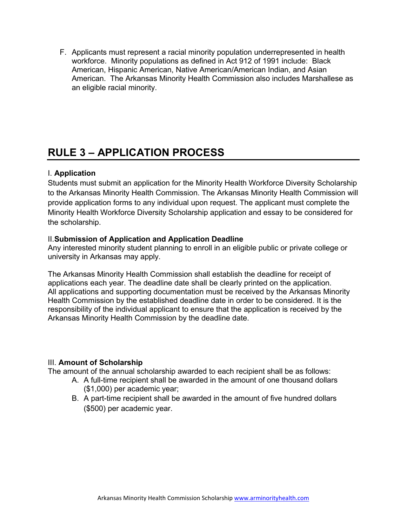F. Applicants must represent a racial minority population underrepresented in health workforce. Minority populations as defined in Act 912 of 1991 include: Black American, Hispanic American, Native American/American Indian, and Asian American. The Arkansas Minority Health Commission also includes Marshallese as an eligible racial minority.

# **RULE 3 – APPLICATION PROCESS**

## I. **Application**

Students must submit an application for the Minority Health Workforce Diversity Scholarship to the Arkansas Minority Health Commission. The Arkansas Minority Health Commission will provide application forms to any individual upon request. The applicant must complete the Minority Health Workforce Diversity Scholarship application and essay to be considered for the scholarship.

## II.**Submission of Application and Application Deadline**

Any interested minority student planning to enroll in an eligible public or private college or university in Arkansas may apply.

The Arkansas Minority Health Commission shall establish the deadline for receipt of applications each year. The deadline date shall be clearly printed on the application. All applications and supporting documentation must be received by the Arkansas Minority Health Commission by the established deadline date in order to be considered. It is the responsibility of the individual applicant to ensure that the application is received by the Arkansas Minority Health Commission by the deadline date.

## III. **Amount of Scholarship**

The amount of the annual scholarship awarded to each recipient shall be as follows:

- A. A full-time recipient shall be awarded in the amount of one thousand dollars (\$1,000) per academic year;
- B. A part-time recipient shall be awarded in the amount of five hundred dollars (\$500) per academic year.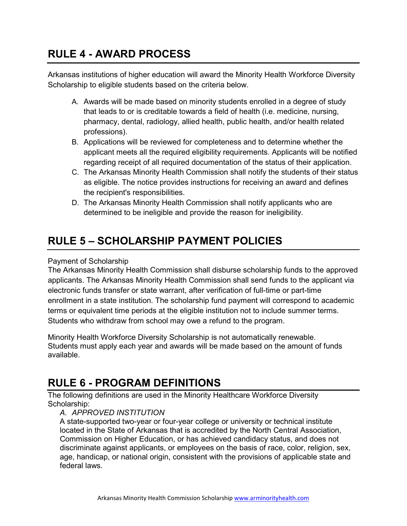## **RULE 4 - AWARD PROCESS**

Arkansas institutions of higher education will award the Minority Health Workforce Diversity Scholarship to eligible students based on the criteria below.

- A. Awards will be made based on minority students enrolled in a degree of study that leads to or is creditable towards a field of health (i.e. medicine, nursing, pharmacy, dental, radiology, allied health, public health, and/or health related professions).
- B. Applications will be reviewed for completeness and to determine whether the applicant meets all the required eligibility requirements. Applicants will be notified regarding receipt of all required documentation of the status of their application.
- C. The Arkansas Minority Health Commission shall notify the students of their status as eligible. The notice provides instructions for receiving an award and defines the recipient's responsibilities.
- D. The Arkansas Minority Health Commission shall notify applicants who are determined to be ineligible and provide the reason for ineligibility.

# **RULE 5 – SCHOLARSHIP PAYMENT POLICIES**

## Payment of Scholarship

The Arkansas Minority Health Commission shall disburse scholarship funds to the approved applicants. The Arkansas Minority Health Commission shall send funds to the applicant via electronic funds transfer or state warrant, after verification of full-time or part-time enrollment in a state institution. The scholarship fund payment will correspond to academic terms or equivalent time periods at the eligible institution not to include summer terms. Students who withdraw from school may owe a refund to the program.

Minority Health Workforce Diversity Scholarship is not automatically renewable. Students must apply each year and awards will be made based on the amount of funds available.

## **RULE 6 - PROGRAM DEFINITIONS**

The following definitions are used in the Minority Healthcare Workforce Diversity Scholarship:

## *A. APPROVED INSTITUTION*

A state-supported two-year or four-year college or university or technical institute located in the State of Arkansas that is accredited by the North Central Association, Commission on Higher Education, or has achieved candidacy status, and does not discriminate against applicants, or employees on the basis of race, color, religion, sex, age, handicap, or national origin, consistent with the provisions of applicable state and federal laws.